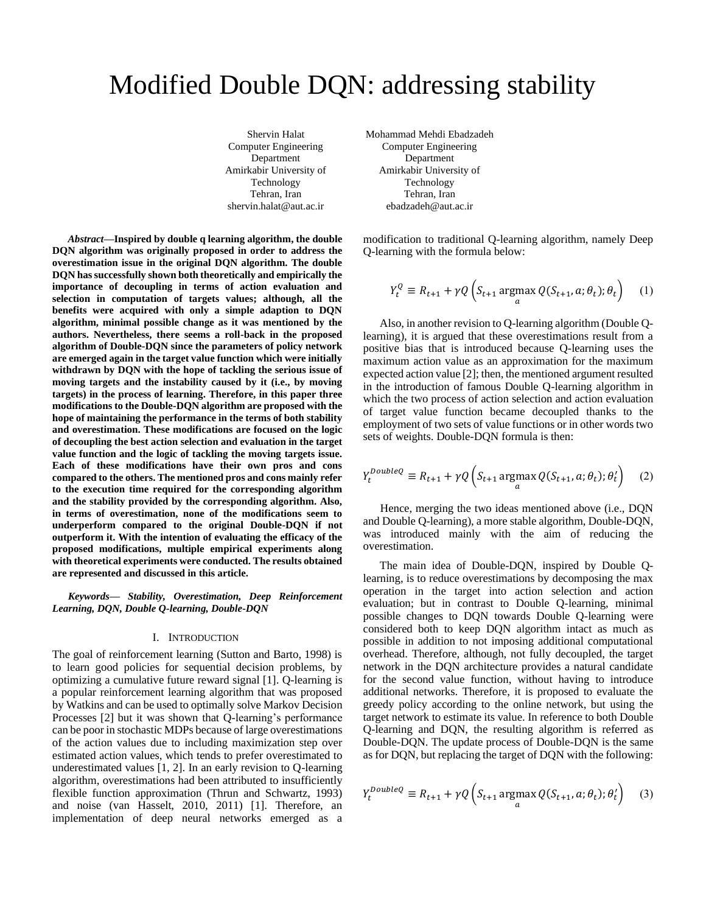# Modified Double DQN: addressing stability

Shervin Halat Computer Engineering Department Amirkabir University of Technology Tehran, Iran shervin.halat@aut.ac.ir

*Abstract***—Inspired by double q learning algorithm, the double DQN algorithm was originally proposed in order to address the overestimation issue in the original DQN algorithm. The double DQN has successfully shown both theoretically and empirically the importance of decoupling in terms of action evaluation and selection in computation of targets values; although, all the benefits were acquired with only a simple adaption to DQN algorithm, minimal possible change as it was mentioned by the authors. Nevertheless, there seems a roll-back in the proposed algorithm of Double-DQN since the parameters of policy network are emerged again in the target value function which were initially withdrawn by DQN with the hope of tackling the serious issue of moving targets and the instability caused by it (i.e., by moving targets) in the process of learning. Therefore, in this paper three modifications to the Double-DQN algorithm are proposed with the hope of maintaining the performance in the terms of both stability and overestimation. These modifications are focused on the logic of decoupling the best action selection and evaluation in the target value function and the logic of tackling the moving targets issue. Each of these modifications have their own pros and cons compared to the others. The mentioned pros and cons mainly refer to the execution time required for the corresponding algorithm and the stability provided by the corresponding algorithm. Also, in terms of overestimation, none of the modifications seem to underperform compared to the original Double-DQN if not outperform it. With the intention of evaluating the efficacy of the proposed modifications, multiple empirical experiments along with theoretical experiments were conducted. The results obtained are represented and discussed in this article.**

*Keywords— Stability, Overestimation, Deep Reinforcement Learning, DQN, Double Q-learning, Double-DQN*

#### I. INTRODUCTION

The goal of reinforcement learning (Sutton and Barto, 1998) is to learn good policies for sequential decision problems, by optimizing a cumulative future reward signal [1]. Q-learning is a popular reinforcement learning algorithm that was proposed by Watkins and can be used to optimally solve Markov Decision Processes [2] but it was shown that Q-learning's performance can be poor in stochastic MDPs because of large overestimations of the action values due to including maximization step over estimated action values, which tends to prefer overestimated to underestimated values [1, 2]. In an early revision to Q-learning algorithm, overestimations had been attributed to insufficiently flexible function approximation (Thrun and Schwartz, 1993) and noise (van Hasselt, 2010, 2011) [1]. Therefore, an implementation of deep neural networks emerged as a

Mohammad Mehdi Ebadzadeh Computer Engineering Department Amirkabir University of Technology Tehran, Iran ebadzadeh@aut.ac.ir

modification to traditional Q-learning algorithm, namely Deep Q-learning with the formula below:

$$
Y_t^Q \equiv R_{t+1} + \gamma Q \left( S_{t+1} \operatorname*{argmax}_a Q(S_{t+1}, a; \theta_t); \theta_t \right) \tag{1}
$$

Also, in another revision to Q-learning algorithm (Double Qlearning), it is argued that these overestimations result from a positive bias that is introduced because Q-learning uses the maximum action value as an approximation for the maximum expected action value [2]; then, the mentioned argument resulted in the introduction of famous Double Q-learning algorithm in which the two process of action selection and action evaluation of target value function became decoupled thanks to the employment of two sets of value functions or in other words two sets of weights. Double-DQN formula is then:

$$
Y_t^{DoubleQ} \equiv R_{t+1} + \gamma Q \left( S_{t+1} \operatorname*{argmax}_a Q(S_{t+1}, a; \theta_t) ; \theta_t' \right) \tag{2}
$$

 Hence, merging the two ideas mentioned above (i.e., DQN and Double Q-learning), a more stable algorithm, Double-DQN, was introduced mainly with the aim of reducing the overestimation.

The main idea of Double-DQN, inspired by Double Qlearning, is to reduce overestimations by decomposing the max operation in the target into action selection and action evaluation; but in contrast to Double Q-learning, minimal possible changes to DQN towards Double Q-learning were considered both to keep DQN algorithm intact as much as possible in addition to not imposing additional computational overhead. Therefore, although, not fully decoupled, the target network in the DQN architecture provides a natural candidate for the second value function, without having to introduce additional networks. Therefore, it is proposed to evaluate the greedy policy according to the online network, but using the target network to estimate its value. In reference to both Double Q-learning and DQN, the resulting algorithm is referred as Double-DQN. The update process of Double-DQN is the same as for DQN, but replacing the target of DQN with the following:

$$
Y_t^{DoubleQ} \equiv R_{t+1} + \gamma Q \left( S_{t+1} \operatorname*{argmax}_a Q(S_{t+1}, a; \theta_t) ; \theta_t' \right) \tag{3}
$$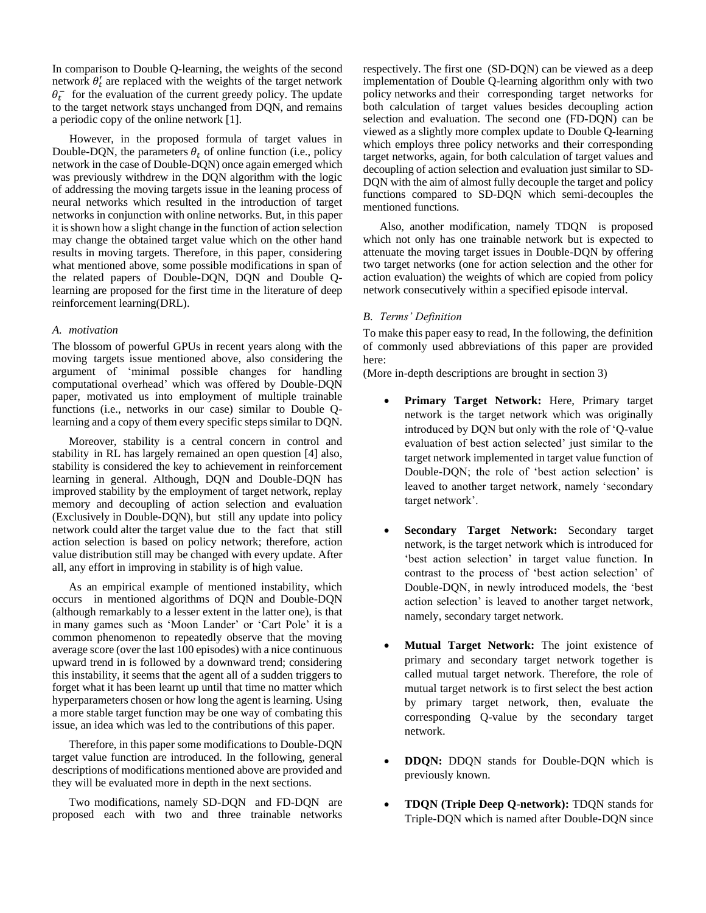In comparison to Double Q-learning, the weights of the second network  $\theta'_t$  are replaced with the weights of the target network  $\theta_t^-$  for the evaluation of the current greedy policy. The update to the target network stays unchanged from DQN, and remains a periodic copy of the online network [1].

 However, in the proposed formula of target values in Double-DQN, the parameters  $\theta_t$  of online function (i.e., policy network in the case of Double-DQN) once again emerged which was previously withdrew in the DQN algorithm with the logic of addressing the moving targets issue in the leaning process of neural networks which resulted in the introduction of target networks in conjunction with online networks. But, in this paper it is shown how a slight change in the function of action selection may change the obtained target value which on the other hand results in moving targets. Therefore, in this paper, considering what mentioned above, some possible modifications in span of the related papers of Double-DQN, DQN and Double Qlearning are proposed for the first time in the literature of deep reinforcement learning(DRL).

## *A. motivation*

The blossom of powerful GPUs in recent years along with the moving targets issue mentioned above, also considering the argument of 'minimal possible changes for handling computational overhead' which was offered by Double-DQN paper, motivated us into employment of multiple trainable functions (i.e., networks in our case) similar to Double Qlearning and a copy of them every specific steps similar to DQN.

Moreover, stability is a central concern in control and stability in RL has largely remained an open question [4] also, stability is considered the key to achievement in reinforcement learning in general. Although, DQN and Double-DQN has improved stability by the employment of target network, replay memory and decoupling of action selection and evaluation (Exclusively in Double-DQN), but still any update into policy network could alter the target value due to the fact that still action selection is based on policy network; therefore, action value distribution still may be changed with every update. After all, any effort in improving in stability is of high value.

As an empirical example of mentioned instability, which occurs in mentioned algorithms of DQN and Double-DQN (although remarkably to a lesser extent in the latter one), is that in many games such as 'Moon Lander' or 'Cart Pole' it is a common phenomenon to repeatedly observe that the moving average score (over the last 100 episodes) with a nice continuous upward trend in is followed by a downward trend; considering this instability, it seems that the agent all of a sudden triggers to forget what it has been learnt up until that time no matter which hyperparameters chosen or how long the agent is learning. Using a more stable target function may be one way of combating this issue, an idea which was led to the contributions of this paper.

Therefore, in this paper some modifications to Double-DQN target value function are introduced. In the following, general descriptions of modifications mentioned above are provided and they will be evaluated more in depth in the next sections.

Two modifications, namely SD-DQN and FD-DQN are proposed each with two and three trainable networks respectively. The first one (SD-DQN) can be viewed as a deep implementation of Double Q-learning algorithm only with two policy networks and their corresponding target networks for both calculation of target values besides decoupling action selection and evaluation. The second one (FD-DQN) can be viewed as a slightly more complex update to Double Q-learning which employs three policy networks and their corresponding target networks, again, for both calculation of target values and decoupling of action selection and evaluation just similar to SD-DQN with the aim of almost fully decouple the target and policy functions compared to SD-DQN which semi-decouples the mentioned functions.

Also, another modification, namely TDQN is proposed which not only has one trainable network but is expected to attenuate the moving target issues in Double-DQN by offering two target networks (one for action selection and the other for action evaluation) the weights of which are copied from policy network consecutively within a specified episode interval.

# *B. Terms' Definition*

To make this paper easy to read, In the following, the definition of commonly used abbreviations of this paper are provided here:

(More in-depth descriptions are brought in section 3)

- **Primary Target Network:** Here, Primary target network is the target network which was originally introduced by DQN but only with the role of 'Q-value evaluation of best action selected' just similar to the target network implemented in target value function of Double-DQN; the role of 'best action selection' is leaved to another target network, namely 'secondary target network'.
- **Secondary Target Network:** Secondary target network, is the target network which is introduced for 'best action selection' in target value function. In contrast to the process of 'best action selection' of Double-DQN, in newly introduced models, the 'best action selection' is leaved to another target network, namely, secondary target network.
- **Mutual Target Network:** The joint existence of primary and secondary target network together is called mutual target network. Therefore, the role of mutual target network is to first select the best action by primary target network, then, evaluate the corresponding Q-value by the secondary target network.
- **DDQN:** DDQN stands for Double-DQN which is previously known.
- **TDQN (Triple Deep Q-network):** TDQN stands for Triple-DQN which is named after Double-DQN since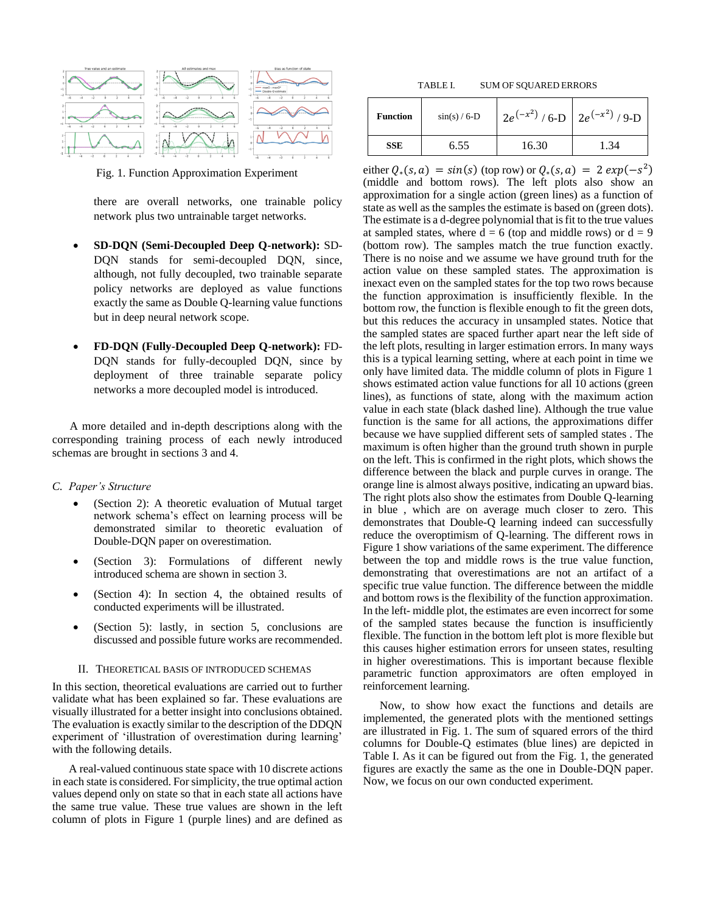

Fig. 1. Function Approximation Experiment

there are overall networks, one trainable policy network plus two untrainable target networks.

- **SD-DQN (Semi-Decoupled Deep Q-network):** SD-DQN stands for semi-decoupled DQN, since, although, not fully decoupled, two trainable separate policy networks are deployed as value functions exactly the same as Double Q-learning value functions but in deep neural network scope.
- **FD-DQN (Fully-Decoupled Deep Q-network):** FD-DQN stands for fully-decoupled DQN, since by deployment of three trainable separate policy networks a more decoupled model is introduced.

 A more detailed and in-depth descriptions along with the corresponding training process of each newly introduced schemas are brought in sections 3 and 4.

## *C. Paper's Structure*

- (Section 2): A theoretic evaluation of Mutual target network schema's effect on learning process will be demonstrated similar to theoretic evaluation of Double-DQN paper on overestimation.
- (Section 3): Formulations of different newly introduced schema are shown in section 3.
- (Section 4): In section 4, the obtained results of conducted experiments will be illustrated.
- (Section 5): lastly, in section 5, conclusions are discussed and possible future works are recommended.

## II. THEORETICAL BASIS OF INTRODUCED SCHEMAS

In this section, theoretical evaluations are carried out to further validate what has been explained so far. These evaluations are visually illustrated for a better insight into conclusions obtained. The evaluation is exactly similar to the description of the DDQN experiment of 'illustration of overestimation during learning' with the following details.

A real-valued continuous state space with 10 discrete actions in each state is considered. For simplicity, the true optimal action values depend only on state so that in each state all actions have the same true value. These true values are shown in the left column of plots in Figure 1 (purple lines) and are defined as

TABLE I. SUM OF SQUARED ERRORS

| <b>Function</b> | $\sin(s)$ / 6-D | $2e^{(-x^2)}/6-D$ 2 $e^{(-x^2)}/9-D$ |      |
|-----------------|-----------------|--------------------------------------|------|
| <b>SSE</b>      | 6.55            | 16.30                                | 1.34 |

either  $Q_*(s, a) = sin(s)$  (top row) or  $Q_*(s, a) = 2 exp(-s^2)$ (middle and bottom rows). The left plots also show an approximation for a single action (green lines) as a function of state as well as the samples the estimate is based on (green dots). The estimate is a d-degree polynomial that is fit to the true values at sampled states, where  $d = 6$  (top and middle rows) or  $d = 9$ (bottom row). The samples match the true function exactly. There is no noise and we assume we have ground truth for the action value on these sampled states. The approximation is inexact even on the sampled states for the top two rows because the function approximation is insufficiently flexible. In the bottom row, the function is flexible enough to fit the green dots, but this reduces the accuracy in unsampled states. Notice that the sampled states are spaced further apart near the left side of the left plots, resulting in larger estimation errors. In many ways this is a typical learning setting, where at each point in time we only have limited data. The middle column of plots in Figure 1 shows estimated action value functions for all 10 actions (green lines), as functions of state, along with the maximum action value in each state (black dashed line). Although the true value function is the same for all actions, the approximations differ because we have supplied different sets of sampled states . The maximum is often higher than the ground truth shown in purple on the left. This is confirmed in the right plots, which shows the difference between the black and purple curves in orange. The orange line is almost always positive, indicating an upward bias. The right plots also show the estimates from Double Q-learning in blue , which are on average much closer to zero. This demonstrates that Double-Q learning indeed can successfully reduce the overoptimism of Q-learning. The different rows in Figure 1 show variations of the same experiment. The difference between the top and middle rows is the true value function, demonstrating that overestimations are not an artifact of a specific true value function. The difference between the middle and bottom rows is the flexibility of the function approximation. In the left- middle plot, the estimates are even incorrect for some of the sampled states because the function is insufficiently flexible. The function in the bottom left plot is more flexible but this causes higher estimation errors for unseen states, resulting in higher overestimations. This is important because flexible parametric function approximators are often employed in reinforcement learning.

Now, to show how exact the functions and details are implemented, the generated plots with the mentioned settings are illustrated in Fig. 1. The sum of squared errors of the third columns for Double-Q estimates (blue lines) are depicted in Table I. As it can be figured out from the Fig. 1, the generated figures are exactly the same as the one in Double-DQN paper. Now, we focus on our own conducted experiment.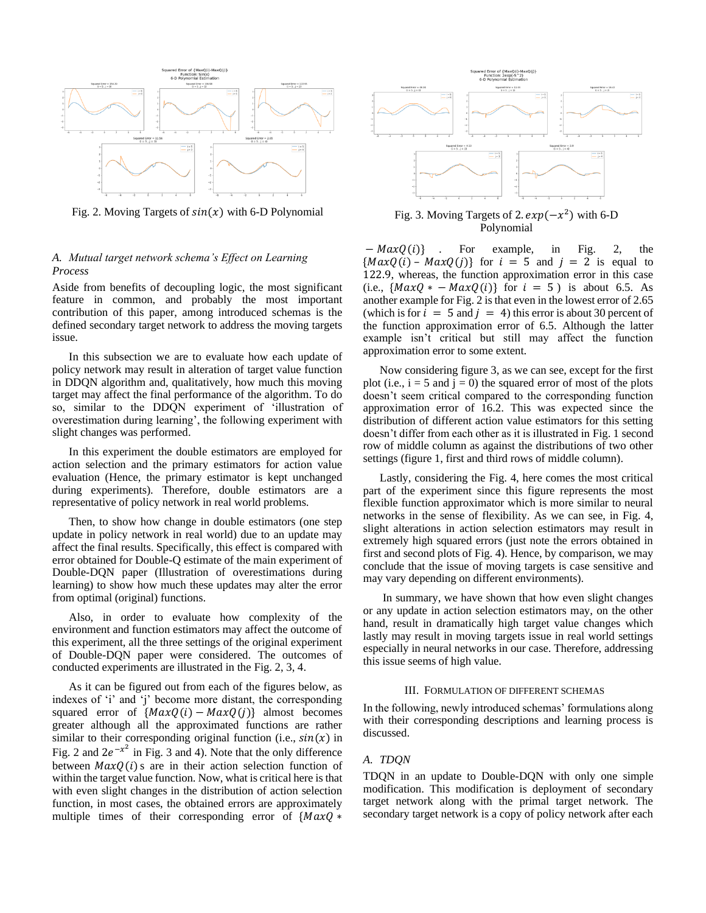

Fig. 2. Moving Targets of  $sin(x)$  with 6-D Polynomial

# *A. Mutual target network schema's Effect on Learning Process*

Aside from benefits of decoupling logic, the most significant feature in common, and probably the most important contribution of this paper, among introduced schemas is the defined secondary target network to address the moving targets issue.

In this subsection we are to evaluate how each update of policy network may result in alteration of target value function in DDQN algorithm and, qualitatively, how much this moving target may affect the final performance of the algorithm. To do so, similar to the DDQN experiment of 'illustration of overestimation during learning', the following experiment with slight changes was performed.

In this experiment the double estimators are employed for action selection and the primary estimators for action value evaluation (Hence, the primary estimator is kept unchanged during experiments). Therefore, double estimators are a representative of policy network in real world problems.

Then, to show how change in double estimators (one step update in policy network in real world) due to an update may affect the final results. Specifically, this effect is compared with error obtained for Double-Q estimate of the main experiment of Double-DQN paper (Illustration of overestimations during learning) to show how much these updates may alter the error from optimal (original) functions.

Also, in order to evaluate how complexity of the environment and function estimators may affect the outcome of this experiment, all the three settings of the original experiment of Double-DQN paper were considered. The outcomes of conducted experiments are illustrated in the Fig. 2, 3, 4.

As it can be figured out from each of the figures below, as indexes of 'i' and 'j' become more distant, the corresponding squared error of  $\{MaxQ(i) - MaxQ(j)\}\$  almost becomes greater although all the approximated functions are rather similar to their corresponding original function (i.e.,  $sin(x)$  in Fig. 2 and  $2e^{-x^2}$  in Fig. 3 and 4). Note that the only difference between  $MaxQ(i)$  s are in their action selection function of within the target value function. Now, what is critical here is that with even slight changes in the distribution of action selection function, in most cases, the obtained errors are approximately multiple times of their corresponding error of  $\{MaxQ *$ 



# $^{2}$ ) with 6-D Polynomial

 $-MaxO(i)$  . For example, in Fig. 2, the  ${MaxQ(i) - MaxQ(j)}$  for  $i = 5$  and  $j = 2$  is equal to 122.9, whereas, the function approximation error in this case (i.e.,  $\{MaxQ * - MaxQ(i)\}\$ for  $i = 5$ ) is about 6.5. As another example for Fig. 2 is that even in the lowest error of 2.65 (which is for  $i = 5$  and  $j = 4$ ) this error is about 30 percent of the function approximation error of 6.5. Although the latter example isn't critical but still may affect the function approximation error to some extent.

Now considering figure 3, as we can see, except for the first plot (i.e.,  $i = 5$  and  $j = 0$ ) the squared error of most of the plots doesn't seem critical compared to the corresponding function approximation error of 16.2. This was expected since the distribution of different action value estimators for this setting doesn't differ from each other as it is illustrated in Fig. 1 second row of middle column as against the distributions of two other settings (figure 1, first and third rows of middle column).

Lastly, considering the Fig. 4, here comes the most critical part of the experiment since this figure represents the most flexible function approximator which is more similar to neural networks in the sense of flexibility. As we can see, in Fig. 4, slight alterations in action selection estimators may result in extremely high squared errors (just note the errors obtained in first and second plots of Fig. 4). Hence, by comparison, we may conclude that the issue of moving targets is case sensitive and may vary depending on different environments).

In summary, we have shown that how even slight changes or any update in action selection estimators may, on the other hand, result in dramatically high target value changes which lastly may result in moving targets issue in real world settings especially in neural networks in our case. Therefore, addressing this issue seems of high value.

## III. FORMULATION OF DIFFERENT SCHEMAS

In the following, newly introduced schemas' formulations along with their corresponding descriptions and learning process is discussed.

# *A. TDQN*

TDQN in an update to Double-DQN with only one simple modification. This modification is deployment of secondary target network along with the primal target network. The secondary target network is a copy of policy network after each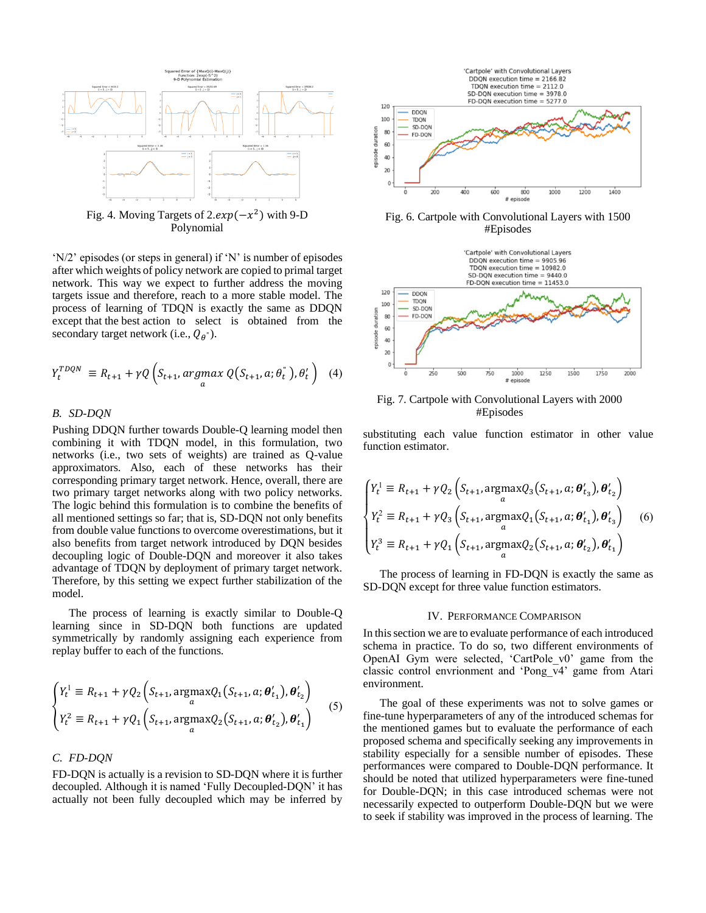

Fig. 4. Moving Targets of  $2.\exp(-x^2)$  with 9-D Polynomial

'N/2' episodes (or steps in general) if 'N' is number of episodes after which weights of policy network are copied to primal target network. This way we expect to further address the moving targets issue and therefore, reach to a more stable model. The process of learning of TDQN is exactly the same as DDQN except that the best action to select is obtained from the secondary target network (i.e.,  $Q_{\theta}$ <sup>"</sup>).

$$
Y_t^{TDQN} \equiv R_{t+1} + \gamma Q \left( S_{t+1}, \underset{a}{argmax} \ Q \left( S_{t+1}, a; \theta_t^{\dagger} \right), \theta_t^{\prime} \right) \tag{4}
$$

## *B. SD-DQN*

Pushing DDQN further towards Double-Q learning model then combining it with TDQN model, in this formulation, two networks (i.e., two sets of weights) are trained as Q-value approximators. Also, each of these networks has their corresponding primary target network. Hence, overall, there are two primary target networks along with two policy networks. The logic behind this formulation is to combine the benefits of all mentioned settings so far; that is, SD-DQN not only benefits from double value functions to overcome overestimations, but it also benefits from target network introduced by DQN besides decoupling logic of Double-DQN and moreover it also takes advantage of TDQN by deployment of primary target network. Therefore, by this setting we expect further stabilization of the model.

The process of learning is exactly similar to Double-Q learning since in SD-DQN both functions are updated symmetrically by randomly assigning each experience from replay buffer to each of the functions.

$$
\begin{cases}\nY_t^1 \equiv R_{t+1} + \gamma Q_2 \left( S_{t+1}, \argmax_{a} Q_1(S_{t+1}, a; \theta'_{t_1}), \theta'_{t_2} \right) \\
Y_t^2 \equiv R_{t+1} + \gamma Q_1 \left( S_{t+1}, \argmax_{a} Q_2(S_{t+1}, a; \theta'_{t_2}), \theta'_{t_1} \right)\n\end{cases} (5)
$$

# *C. FD-DQN*

FD-DQN is actually is a revision to SD-DQN where it is further decoupled. Although it is named 'Fully Decoupled-DQN' it has actually not been fully decoupled which may be inferred by



Fig. 6. Cartpole with Convolutional Layers with 1500 #Episodes



Fig. 7. Cartpole with Convolutional Layers with 2000 #Episodes

substituting each value function estimator in other value function estimator.

$$
\begin{cases}\nY_t^1 \equiv R_{t+1} + \gamma Q_2 \left( S_{t+1}, \underset{a}{\text{argmax}} Q_3 \left( S_{t+1}, a; \theta'_{t_3} \right), \theta'_{t_2} \right) \\
Y_t^2 \equiv R_{t+1} + \gamma Q_3 \left( S_{t+1}, \underset{a}{\text{argmax}} Q_1 \left( S_{t+1}, a; \theta'_{t_1} \right), \theta'_{t_3} \right) \\
Y_t^3 \equiv R_{t+1} + \gamma Q_1 \left( S_{t+1}, \underset{a}{\text{argmax}} Q_2 \left( S_{t+1}, a; \theta'_{t_2} \right), \theta'_{t_1} \right)\n\end{cases} (6)
$$

The process of learning in FD-DQN is exactly the same as SD-DQN except for three value function estimators.

### IV. PERFORMANCE COMPARISON

In this section we are to evaluate performance of each introduced schema in practice. To do so, two different environments of OpenAI Gym were selected, 'CartPole\_v0' game from the classic control envrionment and 'Pong\_v4' game from Atari environment.

The goal of these experiments was not to solve games or fine-tune hyperparameters of any of the introduced schemas for the mentioned games but to evaluate the performance of each proposed schema and specifically seeking any improvements in stability especially for a sensible number of episodes. These performances were compared to Double-DQN performance. It should be noted that utilized hyperparameters were fine-tuned for Double-DQN; in this case introduced schemas were not necessarily expected to outperform Double-DQN but we were to seek if stability was improved in the process of learning. The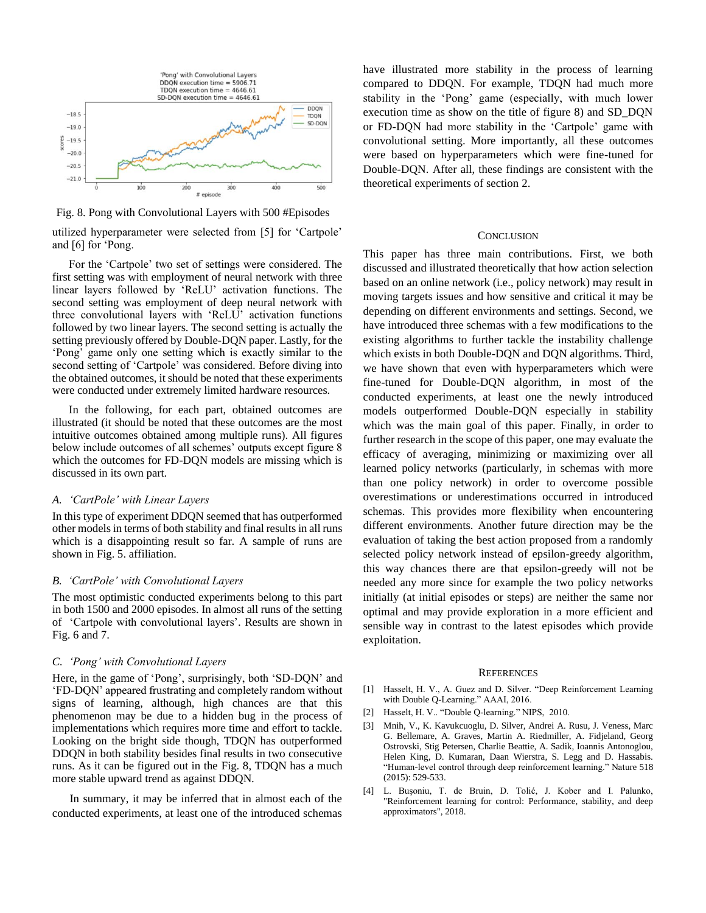

Fig. 8. Pong with Convolutional Layers with 500 #Episodes

utilized hyperparameter were selected from [5] for 'Cartpole' and [6] for 'Pong.

For the 'Cartpole' two set of settings were considered. The first setting was with employment of neural network with three linear layers followed by 'ReLU' activation functions. The second setting was employment of deep neural network with three convolutional layers with 'ReLU' activation functions followed by two linear layers. The second setting is actually the setting previously offered by Double-DQN paper. Lastly, for the 'Pong' game only one setting which is exactly similar to the second setting of 'Cartpole' was considered. Before diving into the obtained outcomes, it should be noted that these experiments were conducted under extremely limited hardware resources.

In the following, for each part, obtained outcomes are illustrated (it should be noted that these outcomes are the most intuitive outcomes obtained among multiple runs). All figures below include outcomes of all schemes' outputs except figure 8 which the outcomes for FD-DQN models are missing which is discussed in its own part.

### *A. 'CartPole' with Linear Layers*

In this type of experiment DDQN seemed that has outperformed other models in terms of both stability and final results in all runs which is a disappointing result so far. A sample of runs are shown in Fig. 5. affiliation.

#### *B. 'CartPole' with Convolutional Layers*

The most optimistic conducted experiments belong to this part in both 1500 and 2000 episodes. In almost all runs of the setting of 'Cartpole with convolutional layers'. Results are shown in Fig. 6 and 7.

#### *C. 'Pong' with Convolutional Layers*

Here, in the game of 'Pong', surprisingly, both 'SD-DQN' and 'FD-DQN' appeared frustrating and completely random without signs of learning, although, high chances are that this phenomenon may be due to a hidden bug in the process of implementations which requires more time and effort to tackle. Looking on the bright side though, TDQN has outperformed DDQN in both stability besides final results in two consecutive runs. As it can be figured out in the Fig. 8, TDQN has a much more stable upward trend as against DDQN.

 In summary, it may be inferred that in almost each of the conducted experiments, at least one of the introduced schemas have illustrated more stability in the process of learning compared to DDQN. For example, TDQN had much more stability in the 'Pong' game (especially, with much lower execution time as show on the title of figure 8) and SD\_DQN or FD-DQN had more stability in the 'Cartpole' game with convolutional setting. More importantly, all these outcomes were based on hyperparameters which were fine-tuned for Double-DQN. After all, these findings are consistent with the theoretical experiments of section 2.

## **CONCLUSION**

This paper has three main contributions. First, we both discussed and illustrated theoretically that how action selection based on an online network (i.e., policy network) may result in moving targets issues and how sensitive and critical it may be depending on different environments and settings. Second, we have introduced three schemas with a few modifications to the existing algorithms to further tackle the instability challenge which exists in both Double-DQN and DQN algorithms. Third, we have shown that even with hyperparameters which were fine-tuned for Double-DQN algorithm, in most of the conducted experiments, at least one the newly introduced models outperformed Double-DQN especially in stability which was the main goal of this paper. Finally, in order to further research in the scope of this paper, one may evaluate the efficacy of averaging, minimizing or maximizing over all learned policy networks (particularly, in schemas with more than one policy network) in order to overcome possible overestimations or underestimations occurred in introduced schemas. This provides more flexibility when encountering different environments. Another future direction may be the evaluation of taking the best action proposed from a randomly selected policy network instead of epsilon-greedy algorithm, this way chances there are that epsilon-greedy will not be needed any more since for example the two policy networks initially (at initial episodes or steps) are neither the same nor optimal and may provide exploration in a more efficient and sensible way in contrast to the latest episodes which provide exploitation.

#### **REFERENCES**

- [1] Hasselt, H. V., A. Guez and D. Silver. "Deep Reinforcement Learning with Double Q-Learning." AAAI, 2016.
- [2] Hasselt, H. V.. "Double Q-learning." NIPS, 2010.
- [3] Mnih, V., K. Kavukcuoglu, D. Silver, Andrei A. Rusu, J. Veness, Marc G. Bellemare, A. Graves, Martin A. Riedmiller, A. Fidjeland, Georg Ostrovski, Stig Petersen, Charlie Beattie, A. Sadik, Ioannis Antonoglou, Helen King, D. Kumaran, Daan Wierstra, S. Legg and D. Hassabis. "Human-level control through deep reinforcement learning." Nature 518 (2015): 529-533.
- [4] L. Buşoniu, T. de Bruin, D. Tolić, J. Kober and I. Palunko, "Reinforcement learning for control: Performance, stability, and deep approximators", 2018.